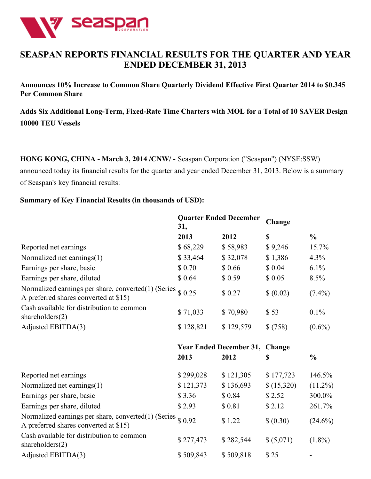

# **SEASPAN REPORTS FINANCIAL RESULTS FOR THE QUARTER AND YEAR ENDED DECEMBER 31, 2013**

**Announces 10% Increase to Common Share Quarterly Dividend Effective First Quarter 2014 to \$0.345 Per Common Share**

**Adds Six Additional Long-Term, Fixed-Rate Time Charters with MOL for a Total of 10 SAVER Design 10000 TEU Vessels**

**HONG KONG, CHINA - March 3, 2014 /CNW/ -** Seaspan Corporation ("Seaspan") (NYSE:SSW) announced today its financial results for the quarter and year ended December 31, 2013. Below is a summary of Seaspan's key financial results:

#### **Summary of Key Financial Results (in thousands of USD):**

|                                                                                              | <b>Quarter Ended December</b><br>31, |                                | Change     |               |  |
|----------------------------------------------------------------------------------------------|--------------------------------------|--------------------------------|------------|---------------|--|
|                                                                                              | 2013                                 | 2012                           | \$         | $\frac{0}{0}$ |  |
| Reported net earnings                                                                        | \$68,229                             | \$58,983                       | \$9,246    | 15.7%         |  |
| Normalized net earnings(1)                                                                   | \$33,464                             | \$32,078                       | \$1,386    | 4.3%          |  |
| Earnings per share, basic                                                                    | \$0.70                               | \$0.66                         | \$0.04     | 6.1%          |  |
| Earnings per share, diluted                                                                  | \$0.64                               | \$0.59                         | \$0.05     | 8.5%          |  |
| Normalized earnings per share, converted(1) (Series<br>A preferred shares converted at \$15) | \$0.25                               | \$0.27                         | \$ (0.02)  | $(7.4\%)$     |  |
| Cash available for distribution to common<br>shareholders $(2)$                              | \$71,033                             | \$70,980                       | \$53       | 0.1%          |  |
| Adjusted EBITDA(3)                                                                           | \$128,821                            | \$129,579                      | \$(758)    | $(0.6\%)$     |  |
|                                                                                              |                                      | <b>Year Ended December 31,</b> | Change     |               |  |
|                                                                                              | 2013                                 | 2012                           | \$         | $\frac{0}{0}$ |  |
| Reported net earnings                                                                        | \$299,028                            | \$121,305                      | \$177,723  | 146.5%        |  |
| Normalized net earnings(1)                                                                   | \$121,373                            | \$136,693                      | \$(15,320) | $(11.2\%)$    |  |
| Earnings per share, basic                                                                    | \$3.36                               | \$0.84                         | \$2.52     | 300.0%        |  |
| Earnings per share, diluted                                                                  | \$2.93                               | \$0.81                         | \$2.12     | 261.7%        |  |
| Normalized earnings per share, converted(1) (Series<br>A preferred shares converted at \$15) | \$0.92                               | \$1.22                         | (0.30)     | $(24.6\%)$    |  |
|                                                                                              |                                      |                                |            |               |  |
| Cash available for distribution to common<br>shareholders $(2)$                              | \$277,473                            | \$282,544                      | \$ (5,071) | $(1.8\%)$     |  |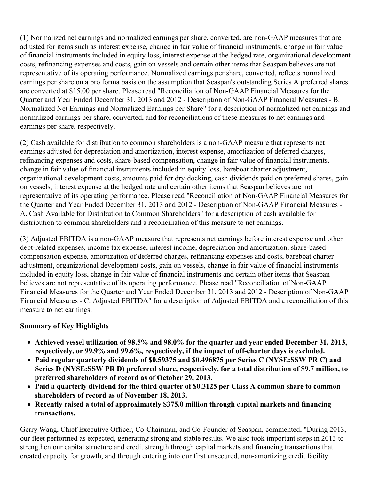(1) Normalized net earnings and normalized earnings per share, converted, are non-GAAP measures that are adjusted for items such as interest expense, change in fair value of financial instruments, change in fair value of financial instruments included in equity loss, interest expense at the hedged rate, organizational development costs, refinancing expenses and costs, gain on vessels and certain other items that Seaspan believes are not representative of its operating performance. Normalized earnings per share, converted, reflects normalized earnings per share on a pro forma basis on the assumption that Seaspan's outstanding Series A preferred shares are converted at \$15.00 per share. Please read "Reconciliation of Non-GAAP Financial Measures for the Quarter and Year Ended December 31, 2013 and 2012 - Description of Non-GAAP Financial Measures - B. Normalized Net Earnings and Normalized Earnings per Share" for a description of normalized net earnings and normalized earnings per share, converted, and for reconciliations of these measures to net earnings and earnings per share, respectively.

(2) Cash available for distribution to common shareholders is a non-GAAP measure that represents net earnings adjusted for depreciation and amortization, interest expense, amortization of deferred charges, refinancing expenses and costs, share-based compensation, change in fair value of financial instruments, change in fair value of financial instruments included in equity loss, bareboat charter adjustment, organizational development costs, amounts paid for dry-docking, cash dividends paid on preferred shares, gain on vessels, interest expense at the hedged rate and certain other items that Seaspan believes are not representative of its operating performance. Please read "Reconciliation of Non-GAAP Financial Measures for the Quarter and Year Ended December 31, 2013 and 2012 - Description of Non-GAAP Financial Measures - A. Cash Available for Distribution to Common Shareholders" for a description of cash available for distribution to common shareholders and a reconciliation of this measure to net earnings.

(3) Adjusted EBITDA is a non-GAAP measure that represents net earnings before interest expense and other debt-related expenses, income tax expense, interest income, depreciation and amortization, share-based compensation expense, amortization of deferred charges, refinancing expenses and costs, bareboat charter adjustment, organizational development costs, gain on vessels, change in fair value of financial instruments included in equity loss, change in fair value of financial instruments and certain other items that Seaspan believes are not representative of its operating performance. Please read "Reconciliation of Non-GAAP Financial Measures for the Quarter and Year Ended December 31, 2013 and 2012 - Description of Non-GAAP Financial Measures - C. Adjusted EBITDA" for a description of Adjusted EBITDA and a reconciliation of this measure to net earnings.

# **Summary of Key Highlights**

- **Achieved vessel utilization of 98.5% and 98.0% for the quarter and year ended December 31, 2013, respectively, or 99.9% and 99.6%, respectively, if the impact of off-charter days is excluded.**
- **Paid regular quarterly dividends of \$0.59375 and \$0.496875 per Series C (NYSE:SSW PR C) and Series D (NYSE:SSW PR D) preferred share, respectively, for a total distribution of \$9.7 million, to preferred shareholders of record as of October 29, 2013.**
- **Paid a quarterly dividend for the third quarter of \$0.3125 per Class A common share to common shareholders of record as of November 18, 2013.**
- **Recently raised a total of approximately \$375.0 million through capital markets and financing transactions.**

Gerry Wang, Chief Executive Officer, Co-Chairman, and Co-Founder of Seaspan, commented, "During 2013, our fleet performed as expected, generating strong and stable results. We also took important steps in 2013 to strengthen our capital structure and credit strength through capital markets and financing transactions that created capacity for growth, and through entering into our first unsecured, non-amortizing credit facility.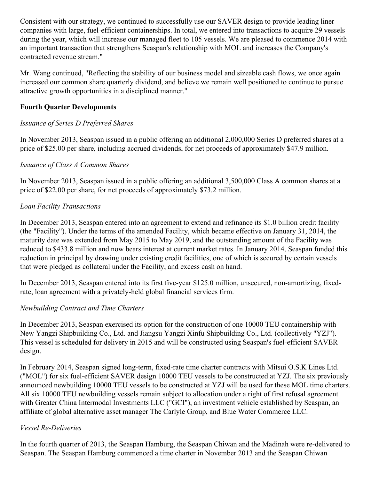Consistent with our strategy, we continued to successfully use our SAVER design to provide leading liner companies with large, fuel-efficient containerships. In total, we entered into transactions to acquire 29 vessels during the year, which will increase our managed fleet to 105 vessels. We are pleased to commence 2014 with an important transaction that strengthens Seaspan's relationship with MOL and increases the Company's contracted revenue stream."

Mr. Wang continued, "Reflecting the stability of our business model and sizeable cash flows, we once again increased our common share quarterly dividend, and believe we remain well positioned to continue to pursue attractive growth opportunities in a disciplined manner."

# **Fourth Quarter Developments**

# *Issuance of Series D Preferred Shares*

In November 2013, Seaspan issued in a public offering an additional 2,000,000 Series D preferred shares at a price of \$25.00 per share, including accrued dividends, for net proceeds of approximately \$47.9 million.

# *Issuance of Class A Common Shares*

In November 2013, Seaspan issued in a public offering an additional 3,500,000 Class A common shares at a price of \$22.00 per share, for net proceeds of approximately \$73.2 million.

# *Loan Facility Transactions*

In December 2013, Seaspan entered into an agreement to extend and refinance its \$1.0 billion credit facility (the "Facility"). Under the terms of the amended Facility, which became effective on January 31, 2014, the maturity date was extended from May 2015 to May 2019, and the outstanding amount of the Facility was reduced to \$433.8 million and now bears interest at current market rates. In January 2014, Seaspan funded this reduction in principal by drawing under existing credit facilities, one of which is secured by certain vessels that were pledged as collateral under the Facility, and excess cash on hand.

In December 2013, Seaspan entered into its first five-year \$125.0 million, unsecured, non-amortizing, fixedrate, loan agreement with a privately-held global financial services firm.

# *Newbuilding Contract and Time Charters*

In December 2013, Seaspan exercised its option for the construction of one 10000 TEU containership with New Yangzi Shipbuilding Co., Ltd. and Jiangsu Yangzi Xinfu Shipbuilding Co., Ltd. (collectively "YZJ"). This vessel is scheduled for delivery in 2015 and will be constructed using Seaspan's fuel-efficient SAVER design.

In February 2014, Seaspan signed long-term, fixed-rate time charter contracts with Mitsui O.S.K Lines Ltd. ("MOL") for six fuel-efficient SAVER design 10000 TEU vessels to be constructed at YZJ. The six previously announced newbuilding 10000 TEU vessels to be constructed at YZJ will be used for these MOL time charters. All six 10000 TEU newbuilding vessels remain subject to allocation under a right of first refusal agreement with Greater China Intermodal Investments LLC ("GCI"), an investment vehicle established by Seaspan, an affiliate of global alternative asset manager The Carlyle Group, and Blue Water Commerce LLC.

# *Vessel Re-Deliveries*

In the fourth quarter of 2013, the Seaspan Hamburg, the Seaspan Chiwan and the Madinah were re-delivered to Seaspan. The Seaspan Hamburg commenced a time charter in November 2013 and the Seaspan Chiwan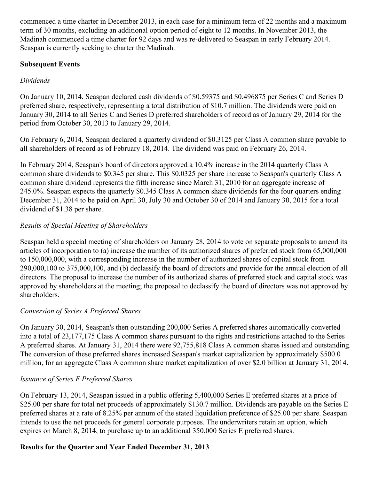commenced a time charter in December 2013, in each case for a minimum term of 22 months and a maximum term of 30 months, excluding an additional option period of eight to 12 months. In November 2013, the Madinah commenced a time charter for 92 days and was re-delivered to Seaspan in early February 2014. Seaspan is currently seeking to charter the Madinah.

# **Subsequent Events**

# *Dividends*

On January 10, 2014, Seaspan declared cash dividends of \$0.59375 and \$0.496875 per Series C and Series D preferred share, respectively, representing a total distribution of \$10.7 million. The dividends were paid on January 30, 2014 to all Series C and Series D preferred shareholders of record as of January 29, 2014 for the period from October 30, 2013 to January 29, 2014.

On February 6, 2014, Seaspan declared a quarterly dividend of \$0.3125 per Class A common share payable to all shareholders of record as of February 18, 2014. The dividend was paid on February 26, 2014.

In February 2014, Seaspan's board of directors approved a 10.4% increase in the 2014 quarterly Class A common share dividends to \$0.345 per share. This \$0.0325 per share increase to Seaspan's quarterly Class A common share dividend represents the fifth increase since March 31, 2010 for an aggregate increase of 245.0%. Seaspan expects the quarterly \$0.345 Class A common share dividends for the four quarters ending December 31, 2014 to be paid on April 30, July 30 and October 30 of 2014 and January 30, 2015 for a total dividend of \$1.38 per share.

# *Results of Special Meeting of Shareholders*

Seaspan held a special meeting of shareholders on January 28, 2014 to vote on separate proposals to amend its articles of incorporation to (a) increase the number of its authorized shares of preferred stock from 65,000,000 to 150,000,000, with a corresponding increase in the number of authorized shares of capital stock from 290,000,100 to 375,000,100, and (b) declassify the board of directors and provide for the annual election of all directors. The proposal to increase the number of its authorized shares of preferred stock and capital stock was approved by shareholders at the meeting; the proposal to declassify the board of directors was not approved by shareholders.

# *Conversion of Series A Preferred Shares*

On January 30, 2014, Seaspan's then outstanding 200,000 Series A preferred shares automatically converted into a total of 23,177,175 Class A common shares pursuant to the rights and restrictions attached to the Series A preferred shares. At January 31, 2014 there were 92,755,818 Class A common shares issued and outstanding. The conversion of these preferred shares increased Seaspan's market capitalization by approximately \$500.0 million, for an aggregate Class A common share market capitalization of over \$2.0 billion at January 31, 2014.

# *Issuance of Series E Preferred Shares*

On February 13, 2014, Seaspan issued in a public offering 5,400,000 Series E preferred shares at a price of \$25.00 per share for total net proceeds of approximately \$130.7 million. Dividends are payable on the Series E preferred shares at a rate of 8.25% per annum of the stated liquidation preference of \$25.00 per share. Seaspan intends to use the net proceeds for general corporate purposes. The underwriters retain an option, which expires on March 8, 2014, to purchase up to an additional 350,000 Series E preferred shares.

# **Results for the Quarter and Year Ended December 31, 2013**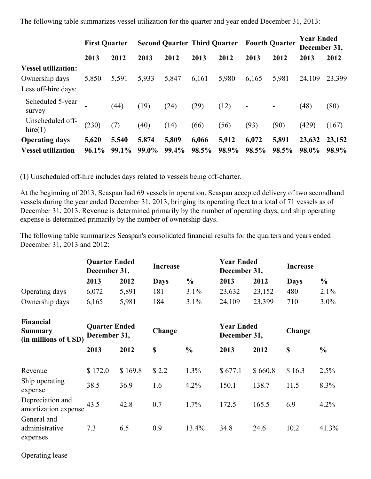The following table summarizes vessel utilization for the quarter and year ended December 31, 2013:

|                             | <b>First Quarter</b> |          |       | <b>Second Quarter Third Quarter</b> |       |       | <b>Fourth Ouarter</b>    |       | <b>Year Ended</b><br>December 31, |        |
|-----------------------------|----------------------|----------|-------|-------------------------------------|-------|-------|--------------------------|-------|-----------------------------------|--------|
|                             | 2013                 | 2012     | 2013  | 2012                                | 2013  | 2012  | 2013                     | 2012  | 2013                              | 2012   |
| <b>Vessel utilization:</b>  |                      |          |       |                                     |       |       |                          |       |                                   |        |
| Ownership days              | 5,850                | 5,591    | 5,933 | 5,847                               | 6,161 | 5,980 | 6,165                    | 5,981 | 24,109                            | 23,399 |
| Less off-hire days:         |                      |          |       |                                     |       |       |                          |       |                                   |        |
| Scheduled 5-year<br>survey  |                      | (44)     | (19)  | (24)                                | (29)  | (12)  | $\overline{\phantom{a}}$ |       | (48)                              | (80)   |
| Unscheduled off-<br>hire(1) | (230)                | (7)      | (40)  | (14)                                | (66)  | (56)  | (93)                     | (90)  | (429)                             | (167)  |
| <b>Operating days</b>       | 5,620                | 5,540    | 5,874 | 5,809                               | 6,066 | 5,912 | 6,072                    | 5,891 | 23,632                            | 23,152 |
| <b>Vessel utilization</b>   | $96.1\%$             | $99.1\%$ | 99.0% | 99.4%                               | 98.5% | 98.9% | 98.5%                    | 98.5% | 98.0%                             | 98.9%  |

(1) Unscheduled off-hire includes days related to vessels being off-charter.

At the beginning of 2013, Seaspan had 69 vessels in operation. Seaspan accepted delivery of two secondhand vessels during the year ended December 31, 2013, bringing its operating fleet to a total of 71 vessels as of December 31, 2013. Revenue is determined primarily by the number of operating days, and ship operating expense is determined primarily by the number of ownership days.

The following table summarizes Seaspan's consolidated financial results for the quarters and years ended December 31, 2013 and 2012:

|                |       | <b>Quarter Ended</b><br>December 31, |             | <b>Increase</b> |        | <b>Year Ended</b><br>December 31, |             | Increase |
|----------------|-------|--------------------------------------|-------------|-----------------|--------|-----------------------------------|-------------|----------|
|                | 2013  | 2012                                 | <b>Davs</b> | $\frac{0}{0}$   | 2013   | 2012                              | <b>Davs</b> | $\%$     |
| Operating days | 6,072 | 5,891                                | 181         | $3.1\%$         | 23,632 | 23,152                            | 480         | $2.1\%$  |
| Ownership days | 6,165 | 5,981                                | 184         | $3.1\%$         | 24,109 | 23,399                            | 710         | $3.0\%$  |

| Financial<br>Summary<br>(in millions of USD) | <b>Quarter Ended</b><br>December 31, |                 | Change       |                 | <b>Year Ended</b><br>December 31, |                  | Change         |               |
|----------------------------------------------|--------------------------------------|-----------------|--------------|-----------------|-----------------------------------|------------------|----------------|---------------|
|                                              | 2013                                 | 2012            | \$           | $\frac{0}{0}$   | 2013                              | 2012             | \$             | $\frac{0}{0}$ |
| Revenue<br>Ship operating<br>expense         | \$172.0<br>38.5                      | \$169.8<br>36.9 | \$2.2<br>1.6 | 1.3%<br>$4.2\%$ | \$677.1<br>150.1                  | \$660.8<br>138.7 | \$16.3<br>11.5 | 2.5%<br>8.3%  |
| Depreciation and<br>amortization expense     | 43.5                                 | 42.8            | 0.7          | $1.7\%$         | 172.5                             | 165.5            | 6.9            | 4.2%          |
| General and<br>administrative<br>expenses    | 7.3                                  | 6.5             | 0.9          | 13.4%           | 34.8                              | 24.6             | 10.2           | 41.3%         |

Operating lease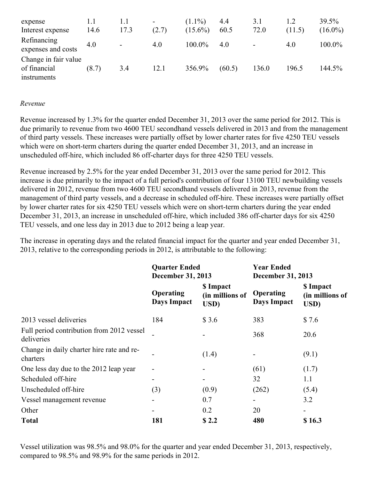| expense<br>Interest expense                         | 1.1<br>14.6 | 1.1<br>17.3    | $\overline{\phantom{a}}$<br>(2.7) | $(1.1\%)$<br>$(15.6\%)$ | 4.4<br>60.5 | 3.1<br>72.0              | (11.5) | $39.5\%$<br>$(16.0\%)$ |
|-----------------------------------------------------|-------------|----------------|-----------------------------------|-------------------------|-------------|--------------------------|--------|------------------------|
| Refinancing<br>expenses and costs                   | 4.0         | $\blacksquare$ | 4.0                               | $100.0\%$               | 4.0         | $\overline{\phantom{0}}$ | 4.0    | $100.0\%$              |
| Change in fair value<br>of financial<br>instruments | (8.7)       | 3.4            | 12.1                              | 356.9%                  | (60.5)      | 136.0                    | 196.5  | 144.5%                 |

#### *Revenue*

Revenue increased by 1.3% for the quarter ended December 31, 2013 over the same period for 2012. This is due primarily to revenue from two 4600 TEU secondhand vessels delivered in 2013 and from the management of third party vessels. These increases were partially offset by lower charter rates for five 4250 TEU vessels which were on short-term charters during the quarter ended December 31, 2013, and an increase in unscheduled off-hire, which included 86 off-charter days for three 4250 TEU vessels.

Revenue increased by 2.5% for the year ended December 31, 2013 over the same period for 2012. This increase is due primarily to the impact of a full period's contribution of four 13100 TEU newbuilding vessels delivered in 2012, revenue from two 4600 TEU secondhand vessels delivered in 2013, revenue from the management of third party vessels, and a decrease in scheduled off-hire. These increases were partially offset by lower charter rates for six 4250 TEU vessels which were on short-term charters during the year ended December 31, 2013, an increase in unscheduled off-hire, which included 386 off-charter days for six 4250 TEU vessels, and one less day in 2013 due to 2012 being a leap year.

The increase in operating days and the related financial impact for the quarter and year ended December 31, 2013, relative to the corresponding periods in 2012, is attributable to the following:

|                                                         | <b>Quarter Ended</b><br>December 31, 2013 |                                      | <b>Year Ended</b><br><b>December 31, 2013</b> |                                      |  |
|---------------------------------------------------------|-------------------------------------------|--------------------------------------|-----------------------------------------------|--------------------------------------|--|
|                                                         | Operating<br>Days Impact                  | \$ Impact<br>(in millions of<br>USD) | <b>Operating</b><br>Days Impact               | \$ Impact<br>(in millions of<br>USD) |  |
| 2013 vessel deliveries                                  | 184                                       | \$3.6                                | 383                                           | \$7.6                                |  |
| Full period contribution from 2012 vessel<br>deliveries |                                           |                                      | 368                                           | 20.6                                 |  |
| Change in daily charter hire rate and re-<br>charters   |                                           | (1.4)                                |                                               | (9.1)                                |  |
| One less day due to the 2012 leap year                  |                                           |                                      | (61)                                          | (1.7)                                |  |
| Scheduled off-hire                                      | -                                         |                                      | 32                                            | 1.1                                  |  |
| Unscheduled off-hire                                    | (3)                                       | (0.9)                                | (262)                                         | (5.4)                                |  |
| Vessel management revenue                               |                                           | 0.7                                  |                                               | 3.2                                  |  |
| Other                                                   |                                           | 0.2                                  | 20                                            |                                      |  |
| <b>Total</b>                                            | 181                                       | \$2.2                                | 480                                           | \$16.3                               |  |

Vessel utilization was 98.5% and 98.0% for the quarter and year ended December 31, 2013, respectively, compared to 98.5% and 98.9% for the same periods in 2012.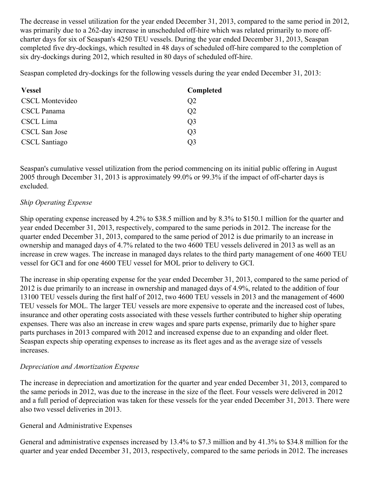The decrease in vessel utilization for the year ended December 31, 2013, compared to the same period in 2012, was primarily due to a 262-day increase in unscheduled off-hire which was related primarily to more offcharter days for six of Seaspan's 4250 TEU vessels. During the year ended December 31, 2013, Seaspan completed five dry-dockings, which resulted in 48 days of scheduled off-hire compared to the completion of six dry-dockings during 2012, which resulted in 80 days of scheduled off-hire.

Seaspan completed dry-dockings for the following vessels during the year ended December 31, 2013:

| <b>Vessel</b>          | Completed      |
|------------------------|----------------|
| <b>CSCL Montevideo</b> | Q <sub>2</sub> |
| CSCL Panama            | Q2             |
| CSCL Lima              | Q3             |
| CSCL San Jose          | O3             |
| <b>CSCL</b> Santiago   | ( )3           |

Seaspan's cumulative vessel utilization from the period commencing on its initial public offering in August 2005 through December 31, 2013 is approximately 99.0% or 99.3% if the impact of off-charter days is excluded.

# *Ship Operating Expense*

Ship operating expense increased by 4.2% to \$38.5 million and by 8.3% to \$150.1 million for the quarter and year ended December 31, 2013, respectively, compared to the same periods in 2012. The increase for the quarter ended December 31, 2013, compared to the same period of 2012 is due primarily to an increase in ownership and managed days of 4.7% related to the two 4600 TEU vessels delivered in 2013 as well as an increase in crew wages. The increase in managed days relates to the third party management of one 4600 TEU vessel for GCI and for one 4600 TEU vessel for MOL prior to delivery to GCI.

The increase in ship operating expense for the year ended December 31, 2013, compared to the same period of 2012 is due primarily to an increase in ownership and managed days of 4.9%, related to the addition of four 13100 TEU vessels during the first half of 2012, two 4600 TEU vessels in 2013 and the management of 4600 TEU vessels for MOL. The larger TEU vessels are more expensive to operate and the increased cost of lubes, insurance and other operating costs associated with these vessels further contributed to higher ship operating expenses. There was also an increase in crew wages and spare parts expense, primarily due to higher spare parts purchases in 2013 compared with 2012 and increased expense due to an expanding and older fleet. Seaspan expects ship operating expenses to increase as its fleet ages and as the average size of vessels increases.

## *Depreciation and Amortization Expense*

The increase in depreciation and amortization for the quarter and year ended December 31, 2013, compared to the same periods in 2012, was due to the increase in the size of the fleet. Four vessels were delivered in 2012 and a full period of depreciation was taken for these vessels for the year ended December 31, 2013. There were also two vessel deliveries in 2013.

## General and Administrative Expenses

General and administrative expenses increased by 13.4% to \$7.3 million and by 41.3% to \$34.8 million for the quarter and year ended December 31, 2013, respectively, compared to the same periods in 2012. The increases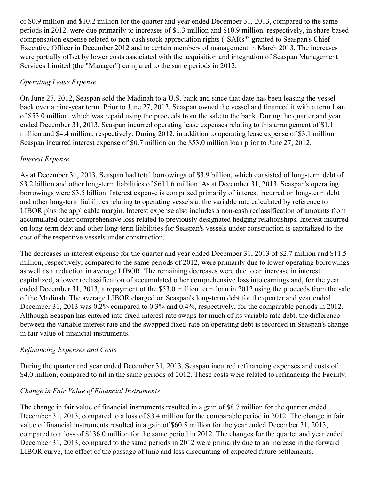of \$0.9 million and \$10.2 million for the quarter and year ended December 31, 2013, compared to the same periods in 2012, were due primarily to increases of \$1.3 million and \$10.9 million, respectively, in share-based compensation expense related to non-cash stock appreciation rights ("SARs") granted to Seaspan's Chief Executive Officer in December 2012 and to certain members of management in March 2013. The increases were partially offset by lower costs associated with the acquisition and integration of Seaspan Management Services Limited (the "Manager") compared to the same periods in 2012.

# *Operating Lease Expense*

On June 27, 2012, Seaspan sold the Madinah to a U.S. bank and since that date has been leasing the vessel back over a nine-year term. Prior to June 27, 2012, Seaspan owned the vessel and financed it with a term loan of \$53.0 million, which was repaid using the proceeds from the sale to the bank. During the quarter and year ended December 31, 2013, Seaspan incurred operating lease expenses relating to this arrangement of \$1.1 million and \$4.4 million, respectively. During 2012, in addition to operating lease expense of \$3.1 million, Seaspan incurred interest expense of \$0.7 million on the \$53.0 million loan prior to June 27, 2012.

# *Interest Expense*

As at December 31, 2013, Seaspan had total borrowings of \$3.9 billion, which consisted of long-term debt of \$3.2 billion and other long-term liabilities of \$611.6 million. As at December 31, 2013, Seaspan's operating borrowings were \$3.5 billion. Interest expense is comprised primarily of interest incurred on long-term debt and other long-term liabilities relating to operating vessels at the variable rate calculated by reference to LIBOR plus the applicable margin. Interest expense also includes a non-cash reclassification of amounts from accumulated other comprehensive loss related to previously designated hedging relationships. Interest incurred on long-term debt and other long-term liabilities for Seaspan's vessels under construction is capitalized to the cost of the respective vessels under construction.

The decreases in interest expense for the quarter and year ended December 31, 2013 of \$2.7 million and \$11.5 million, respectively, compared to the same periods of 2012, were primarily due to lower operating borrowings as well as a reduction in average LIBOR. The remaining decreases were due to an increase in interest capitalized, a lower reclassification of accumulated other comprehensive loss into earnings and, for the year ended December 31, 2013, a repayment of the \$53.0 million term loan in 2012 using the proceeds from the sale of the Madinah. The average LIBOR charged on Seaspan's long-term debt for the quarter and year ended December 31, 2013 was 0.2% compared to 0.3% and 0.4%, respectively, for the comparable periods in 2012. Although Seaspan has entered into fixed interest rate swaps for much of its variable rate debt, the difference between the variable interest rate and the swapped fixed-rate on operating debt is recorded in Seaspan's change in fair value of financial instruments.

# *Refinancing Expenses and Costs*

During the quarter and year ended December 31, 2013, Seaspan incurred refinancing expenses and costs of \$4.0 million, compared to nil in the same periods of 2012. These costs were related to refinancing the Facility.

# *Change in Fair Value of Financial Instruments*

The change in fair value of financial instruments resulted in a gain of \$8.7 million for the quarter ended December 31, 2013, compared to a loss of \$3.4 million for the comparable period in 2012. The change in fair value of financial instruments resulted in a gain of \$60.5 million for the year ended December 31, 2013, compared to a loss of \$136.0 million for the same period in 2012. The changes for the quarter and year ended December 31, 2013, compared to the same periods in 2012 were primarily due to an increase in the forward LIBOR curve, the effect of the passage of time and less discounting of expected future settlements.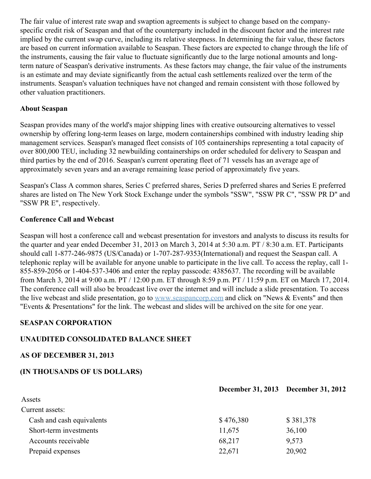The fair value of interest rate swap and swaption agreements is subject to change based on the companyspecific credit risk of Seaspan and that of the counterparty included in the discount factor and the interest rate implied by the current swap curve, including its relative steepness. In determining the fair value, these factors are based on current information available to Seaspan. These factors are expected to change through the life of the instruments, causing the fair value to fluctuate significantly due to the large notional amounts and longterm nature of Seaspan's derivative instruments. As these factors may change, the fair value of the instruments is an estimate and may deviate significantly from the actual cash settlements realized over the term of the instruments. Seaspan's valuation techniques have not changed and remain consistent with those followed by other valuation practitioners.

## **About Seaspan**

Seaspan provides many of the world's major shipping lines with creative outsourcing alternatives to vessel ownership by offering long-term leases on large, modern containerships combined with industry leading ship management services. Seaspan's managed fleet consists of 105 containerships representing a total capacity of over 800,000 TEU, including 32 newbuilding containerships on order scheduled for delivery to Seaspan and third parties by the end of 2016. Seaspan's current operating fleet of 71 vessels has an average age of approximately seven years and an average remaining lease period of approximately five years.

Seaspan's Class A common shares, Series C preferred shares, Series D preferred shares and Series E preferred shares are listed on The New York Stock Exchange under the symbols "SSW", "SSW PR C", "SSW PR D" and "SSW PR E", respectively.

## **Conference Call and Webcast**

Seaspan will host a conference call and webcast presentation for investors and analysts to discuss its results for the quarter and year ended December 31, 2013 on March 3, 2014 at 5:30 a.m. PT / 8:30 a.m. ET. Participants should call 1-877-246-9875 (US/Canada) or 1-707-287-9353(International) and request the Seaspan call. A telephonic replay will be available for anyone unable to participate in the live call. To access the replay, call 1- 855-859-2056 or 1-404-537-3406 and enter the replay passcode: 4385637. The recording will be available from March 3, 2014 at 9:00 a.m. PT / 12:00 p.m. ET through 8:59 p.m. PT / 11:59 p.m. ET on March 17, 2014. The conference call will also be broadcast live over the internet and will include a slide presentation. To access the live webcast and slide presentation, go to [www.seaspancorp.com](http://www.seaspancorp.com/) and click on "News & Events" and then "Events & Presentations" for the link. The webcast and slides will be archived on the site for one year.

## **SEASPAN CORPORATION**

## **UNAUDITED CONSOLIDATED BALANCE SHEET**

## **AS OF DECEMBER 31, 2013**

## **(IN THOUSANDS OF US DOLLARS)**

|                           |           | December 31, 2013 December 31, 2012 |
|---------------------------|-----------|-------------------------------------|
| Assets                    |           |                                     |
| Current assets:           |           |                                     |
| Cash and cash equivalents | \$476,380 | \$381,378                           |
| Short-term investments    | 11,675    | 36,100                              |
| Accounts receivable       | 68,217    | 9,573                               |
| Prepaid expenses          | 22,671    | 20,902                              |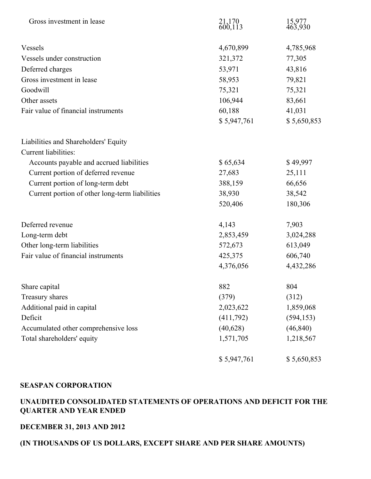| Gross investment in lease                      | 21,170<br>600,113 | 15,977<br>463,930 |
|------------------------------------------------|-------------------|-------------------|
| Vessels                                        | 4,670,899         | 4,785,968         |
| Vessels under construction                     | 321,372           | 77,305            |
| Deferred charges                               | 53,971            | 43,816            |
| Gross investment in lease                      | 58,953            | 79,821            |
| Goodwill                                       | 75,321            | 75,321            |
| Other assets                                   | 106,944           | 83,661            |
| Fair value of financial instruments            | 60,188            | 41,031            |
|                                                | \$5,947,761       | \$5,650,853       |
| Liabilities and Shareholders' Equity           |                   |                   |
| Current liabilities:                           |                   |                   |
| Accounts payable and accrued liabilities       | \$65,634          | \$49,997          |
| Current portion of deferred revenue            | 27,683            | 25,111            |
| Current portion of long-term debt              | 388,159           | 66,656            |
| Current portion of other long-term liabilities | 38,930            | 38,542            |
|                                                | 520,406           | 180,306           |
| Deferred revenue                               | 4,143             | 7,903             |
| Long-term debt                                 | 2,853,459         | 3,024,288         |
| Other long-term liabilities                    | 572,673           | 613,049           |
| Fair value of financial instruments            | 425,375           | 606,740           |
|                                                | 4,376,056         | 4,432,286         |
| Share capital                                  | 882               | 804               |
| Treasury shares                                | (379)             | (312)             |
| Additional paid in capital                     | 2,023,622         | 1,859,068         |
| Deficit                                        | (411,792)         | (594, 153)        |
| Accumulated other comprehensive loss           | (40,628)          | (46, 840)         |
| Total shareholders' equity                     | 1,571,705         | 1,218,567         |
|                                                | \$5,947,761       | \$5,650,853       |

## **UNAUDITED CONSOLIDATED STATEMENTS OF OPERATIONS AND DEFICIT FOR THE QUARTER AND YEAR ENDED**

### **DECEMBER 31, 2013 AND 2012**

# **(IN THOUSANDS OF US DOLLARS, EXCEPT SHARE AND PER SHARE AMOUNTS)**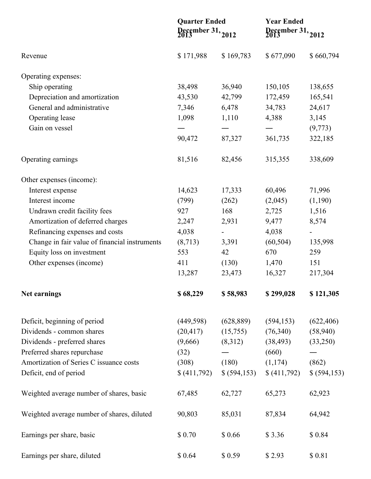|                                               | <b>Quarter Ended</b><br>December 31, 2012 |                          | <b>Year Ended</b><br>December 31, 2012 |              |  |
|-----------------------------------------------|-------------------------------------------|--------------------------|----------------------------------------|--------------|--|
| Revenue                                       | \$171,988                                 | \$169,783                | \$677,090                              | \$660,794    |  |
| Operating expenses:                           |                                           |                          |                                        |              |  |
| Ship operating                                | 38,498                                    | 36,940                   | 150,105                                | 138,655      |  |
| Depreciation and amortization                 | 43,530                                    | 42,799                   | 172,459                                | 165,541      |  |
| General and administrative                    | 7,346                                     | 6,478                    | 34,783                                 | 24,617       |  |
| Operating lease                               | 1,098                                     | 1,110                    | 4,388                                  | 3,145        |  |
| Gain on vessel                                |                                           |                          |                                        | (9,773)      |  |
|                                               | 90,472                                    | 87,327                   | 361,735                                | 322,185      |  |
| Operating earnings                            | 81,516                                    | 82,456                   | 315,355                                | 338,609      |  |
| Other expenses (income):                      |                                           |                          |                                        |              |  |
| Interest expense                              | 14,623                                    | 17,333                   | 60,496                                 | 71,996       |  |
| Interest income                               | (799)                                     | (262)                    | (2,045)                                | (1,190)      |  |
| Undrawn credit facility fees                  | 927                                       | 168                      | 2,725                                  | 1,516        |  |
| Amortization of deferred charges              | 2,247                                     | 2,931                    | 9,477                                  | 8,574        |  |
| Refinancing expenses and costs                | 4,038                                     | $\overline{\phantom{a}}$ | 4,038                                  |              |  |
| Change in fair value of financial instruments | (8,713)                                   | 3,391                    | (60, 504)                              | 135,998      |  |
| Equity loss on investment                     | 553                                       | 42                       | 670                                    | 259          |  |
| Other expenses (income)                       | 411                                       | (130)                    | 1,470                                  | 151          |  |
|                                               | 13,287                                    | 23,473                   | 16,327                                 | 217,304      |  |
| Net earnings                                  | \$68,229                                  | \$58,983                 | \$299,028                              | \$121,305    |  |
| Deficit, beginning of period                  | (449, 598)                                | (628, 889)               | (594, 153)                             | (622, 406)   |  |
| Dividends - common shares                     | (20, 417)                                 | (15,755)                 | (76,340)                               | (58,940)     |  |
| Dividends - preferred shares                  | (9,666)                                   | (8,312)                  | (38, 493)                              | (33,250)     |  |
| Preferred shares repurchase                   | (32)                                      |                          | (660)                                  |              |  |
| Amortization of Series C issuance costs       | (308)                                     | (180)                    | (1,174)                                | (862)        |  |
| Deficit, end of period                        | \$(411,792)                               | \$ (594, 153)            | \$ (411,792)                           | \$ (594,153) |  |
| Weighted average number of shares, basic      | 67,485                                    | 62,727                   | 65,273                                 | 62,923       |  |
| Weighted average number of shares, diluted    | 90,803                                    | 85,031                   | 87,834                                 | 64,942       |  |
| Earnings per share, basic                     | \$0.70                                    | \$0.66                   | \$3.36                                 | \$0.84       |  |
| Earnings per share, diluted                   | \$ 0.64                                   | \$0.59                   | \$2.93                                 | \$0.81       |  |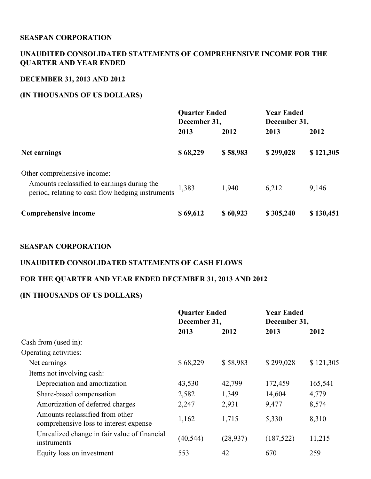# **UNAUDITED CONSOLIDATED STATEMENTS OF COMPREHENSIVE INCOME FOR THE QUARTER AND YEAR ENDED**

# **DECEMBER 31, 2013 AND 2012**

## **(IN THOUSANDS OF US DOLLARS)**

|                                                                                                                                 | <b>Quarter Ended</b><br>December 31, |          | <b>Year Ended</b><br>December 31, |           |
|---------------------------------------------------------------------------------------------------------------------------------|--------------------------------------|----------|-----------------------------------|-----------|
|                                                                                                                                 | 2013                                 | 2012     | 2013                              | 2012      |
| Net earnings                                                                                                                    | \$68,229                             | \$58,983 | \$299,028                         | \$121,305 |
| Other comprehensive income:<br>Amounts reclassified to earnings during the<br>period, relating to cash flow hedging instruments | 1,383                                | 1,940    | 6,212                             | 9,146     |
| Comprehensive income                                                                                                            | \$69,612                             | \$60,923 | \$305,240                         | \$130,451 |

## **SEASPAN CORPORATION**

## **UNAUDITED CONSOLIDATED STATEMENTS OF CASH FLOWS**

## **FOR THE QUARTER AND YEAR ENDED DECEMBER 31, 2013 AND 2012**

# **(IN THOUSANDS OF US DOLLARS)**

|                                                                           | <b>Quarter Ended</b><br>December 31, |           | <b>Year Ended</b><br>December 31, |           |
|---------------------------------------------------------------------------|--------------------------------------|-----------|-----------------------------------|-----------|
|                                                                           | 2013                                 | 2012      | 2013                              | 2012      |
| Cash from (used in):                                                      |                                      |           |                                   |           |
| Operating activities:                                                     |                                      |           |                                   |           |
| Net earnings                                                              | \$68,229                             | \$58,983  | \$299,028                         | \$121,305 |
| Items not involving cash:                                                 |                                      |           |                                   |           |
| Depreciation and amortization                                             | 43,530                               | 42,799    | 172,459                           | 165,541   |
| Share-based compensation                                                  | 2,582                                | 1,349     | 14,604                            | 4,779     |
| Amortization of deferred charges                                          | 2,247                                | 2,931     | 9,477                             | 8,574     |
| Amounts reclassified from other<br>comprehensive loss to interest expense | 1,162                                | 1,715     | 5,330                             | 8,310     |
| Unrealized change in fair value of financial<br>instruments               | (40, 544)                            | (28, 937) | (187, 522)                        | 11,215    |
| Equity loss on investment                                                 | 553                                  | 42        | 670                               | 259       |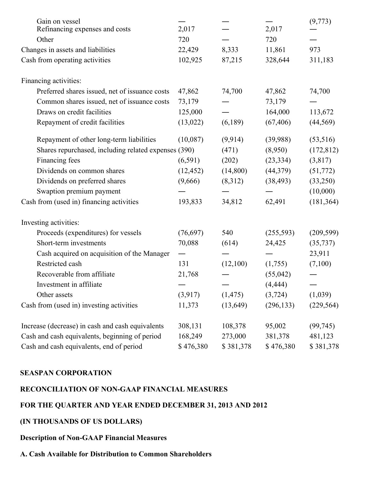| Gain on vessel<br>Refinancing expenses and costs     | 2,017     |           | 2,017      | (9,773)    |
|------------------------------------------------------|-----------|-----------|------------|------------|
| Other                                                | 720       |           | 720        |            |
| Changes in assets and liabilities                    | 22,429    | 8,333     | 11,861     | 973        |
| Cash from operating activities                       | 102,925   | 87,215    | 328,644    | 311,183    |
| Financing activities:                                |           |           |            |            |
| Preferred shares issued, net of issuance costs       | 47,862    | 74,700    | 47,862     | 74,700     |
| Common shares issued, net of issuance costs          | 73,179    |           | 73,179     |            |
| Draws on credit facilities                           | 125,000   |           | 164,000    | 113,672    |
| Repayment of credit facilities                       | (13, 022) | (6,189)   | (67, 406)  | (44, 569)  |
| Repayment of other long-term liabilities             | (10,087)  | (9,914)   | (39,988)   | (53,516)   |
| Shares repurchased, including related expenses (390) |           | (471)     | (8,950)    | (172, 812) |
| Financing fees                                       | (6,591)   | (202)     | (23, 334)  | (3,817)    |
| Dividends on common shares                           | (12, 452) | (14,800)  | (44,379)   | (51, 772)  |
| Dividends on preferred shares                        | (9,666)   | (8,312)   | (38, 493)  | (33,250)   |
| Swaption premium payment                             |           |           |            | (10,000)   |
| Cash from (used in) financing activities             | 193,833   | 34,812    | 62,491     | (181, 364) |
| Investing activities:                                |           |           |            |            |
| Proceeds (expenditures) for vessels                  | (76,697)  | 540       | (255,593)  | (209, 599) |
| Short-term investments                               | 70,088    | (614)     | 24,425     | (35, 737)  |
| Cash acquired on acquisition of the Manager          |           |           |            | 23,911     |
| Restricted cash                                      | 131       | (12,100)  | (1,755)    | (7,100)    |
| Recoverable from affiliate                           | 21,768    |           | (55, 042)  |            |
| Investment in affiliate                              |           |           | (4, 444)   |            |
| Other assets                                         | (3,917)   | (1, 475)  | (3,724)    | (1,039)    |
| Cash from (used in) investing activities             | 11,373    | (13, 649) | (296, 133) | (229, 564) |
| Increase (decrease) in cash and cash equivalents     | 308,131   | 108,378   | 95,002     | (99, 745)  |
| Cash and cash equivalents, beginning of period       | 168,249   | 273,000   | 381,378    | 481,123    |
| Cash and cash equivalents, end of period             | \$476,380 | \$381,378 | \$476,380  | \$381,378  |

# **RECONCILIATION OF NON-GAAP FINANCIAL MEASURES**

### **FOR THE QUARTER AND YEAR ENDED DECEMBER 31, 2013 AND 2012**

# **(IN THOUSANDS OF US DOLLARS)**

## **Description of Non-GAAP Financial Measures**

#### **A. Cash Available for Distribution to Common Shareholders**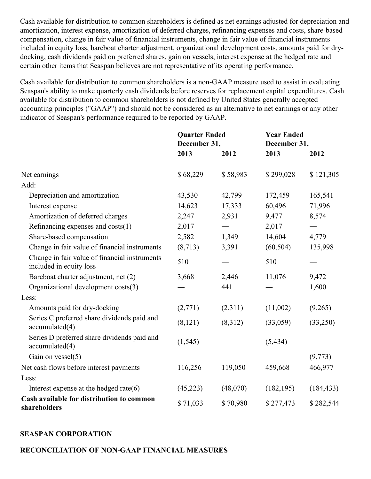Cash available for distribution to common shareholders is defined as net earnings adjusted for depreciation and amortization, interest expense, amortization of deferred charges, refinancing expenses and costs, share-based compensation, change in fair value of financial instruments, change in fair value of financial instruments included in equity loss, bareboat charter adjustment, organizational development costs, amounts paid for drydocking, cash dividends paid on preferred shares, gain on vessels, interest expense at the hedged rate and certain other items that Seaspan believes are not representative of its operating performance.

Cash available for distribution to common shareholders is a non-GAAP measure used to assist in evaluating Seaspan's ability to make quarterly cash dividends before reserves for replacement capital expenditures. Cash available for distribution to common shareholders is not defined by United States generally accepted accounting principles ("GAAP") and should not be considered as an alternative to net earnings or any other indicator of Seaspan's performance required to be reported by GAAP.

|                                                                          | <b>Quarter Ended</b><br>December 31, |                          | <b>Year Ended</b><br>December 31, |            |
|--------------------------------------------------------------------------|--------------------------------------|--------------------------|-----------------------------------|------------|
|                                                                          | 2013                                 | 2012                     | 2013                              | 2012       |
| Net earnings                                                             | \$68,229                             | \$58,983                 | \$299,028                         | \$121,305  |
| Add:                                                                     |                                      |                          |                                   |            |
| Depreciation and amortization                                            | 43,530                               | 42,799                   | 172,459                           | 165,541    |
| Interest expense                                                         | 14,623                               | 17,333                   | 60,496                            | 71,996     |
| Amortization of deferred charges                                         | 2,247                                | 2,931                    | 9,477                             | 8,574      |
| Refinancing expenses and costs(1)                                        | 2,017                                | $\overline{\phantom{0}}$ | 2,017                             |            |
| Share-based compensation                                                 | 2,582                                | 1,349                    | 14,604                            | 4,779      |
| Change in fair value of financial instruments                            | (8,713)                              | 3,391                    | (60, 504)                         | 135,998    |
| Change in fair value of financial instruments<br>included in equity loss | 510                                  |                          | 510                               |            |
| Bareboat charter adjustment, net (2)                                     | 3,668                                | 2,446                    | 11,076                            | 9,472      |
| Organizational development costs(3)                                      |                                      | 441                      |                                   | 1,600      |
| Less:                                                                    |                                      |                          |                                   |            |
| Amounts paid for dry-docking                                             | (2,771)                              | (2,311)                  | (11,002)                          | (9,265)    |
| Series C preferred share dividends paid and<br>accumulated(4)            | (8, 121)                             | (8,312)                  | (33,059)                          | (33,250)   |
| Series D preferred share dividends paid and<br>accumulated(4)            | (1, 545)                             |                          | (5, 434)                          |            |
| Gain on vessel(5)                                                        |                                      |                          |                                   | (9,773)    |
| Net cash flows before interest payments                                  | 116,256                              | 119,050                  | 459,668                           | 466,977    |
| Less:                                                                    |                                      |                          |                                   |            |
| Interest expense at the hedged rate $(6)$                                | (45, 223)                            | (48,070)                 | (182, 195)                        | (184, 433) |
| Cash available for distribution to common<br>shareholders                | \$71,033                             | \$70,980                 | \$277,473                         | \$282,544  |

## **SEASPAN CORPORATION**

#### **RECONCILIATION OF NON-GAAP FINANCIAL MEASURES**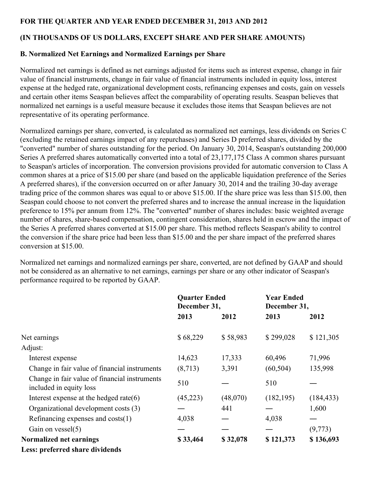# **FOR THE QUARTER AND YEAR ENDED DECEMBER 31, 2013 AND 2012**

# **(IN THOUSANDS OF US DOLLARS, EXCEPT SHARE AND PER SHARE AMOUNTS)**

## **B. Normalized Net Earnings and Normalized Earnings per Share**

Normalized net earnings is defined as net earnings adjusted for items such as interest expense, change in fair value of financial instruments, change in fair value of financial instruments included in equity loss, interest expense at the hedged rate, organizational development costs, refinancing expenses and costs, gain on vessels and certain other items Seaspan believes affect the comparability of operating results. Seaspan believes that normalized net earnings is a useful measure because it excludes those items that Seaspan believes are not representative of its operating performance.

Normalized earnings per share, converted, is calculated as normalized net earnings, less dividends on Series C (excluding the retained earnings impact of any repurchases) and Series D preferred shares, divided by the "converted" number of shares outstanding for the period. On January 30, 2014, Seaspan's outstanding 200,000 Series A preferred shares automatically converted into a total of 23,177,175 Class A common shares pursuant to Seaspan's articles of incorporation. The conversion provisions provided for automatic conversion to Class A common shares at a price of \$15.00 per share (and based on the applicable liquidation preference of the Series A preferred shares), if the conversion occurred on or after January 30, 2014 and the trailing 30-day average trading price of the common shares was equal to or above \$15.00. If the share price was less than \$15.00, then Seaspan could choose to not convert the preferred shares and to increase the annual increase in the liquidation preference to 15% per annum from 12%. The "converted" number of shares includes: basic weighted average number of shares, share-based compensation, contingent consideration, shares held in escrow and the impact of the Series A preferred shares converted at \$15.00 per share. This method reflects Seaspan's ability to control the conversion if the share price had been less than \$15.00 and the per share impact of the preferred shares conversion at \$15.00.

Normalized net earnings and normalized earnings per share, converted, are not defined by GAAP and should not be considered as an alternative to net earnings, earnings per share or any other indicator of Seaspan's performance required to be reported by GAAP.

|                                                                          | <b>Quarter Ended</b><br>December 31, |          | <b>Year Ended</b><br>December 31, |            |
|--------------------------------------------------------------------------|--------------------------------------|----------|-----------------------------------|------------|
|                                                                          | 2013                                 | 2012     | 2013                              | 2012       |
| Net earnings                                                             | \$68,229                             | \$58,983 | \$299,028                         | \$121,305  |
| Adjust:                                                                  |                                      |          |                                   |            |
| Interest expense                                                         | 14,623                               | 17,333   | 60,496                            | 71,996     |
| Change in fair value of financial instruments                            | (8,713)                              | 3,391    | (60, 504)                         | 135,998    |
| Change in fair value of financial instruments<br>included in equity loss | 510                                  |          | 510                               |            |
| Interest expense at the hedged rate $(6)$                                | (45,223)                             | (48,070) | (182, 195)                        | (184, 433) |
| Organizational development costs (3)                                     |                                      | 441      |                                   | 1,600      |
| Refinancing expenses and $costs(1)$                                      | 4,038                                |          | 4,038                             |            |
| Gain on vessel $(5)$                                                     |                                      |          |                                   | (9,773)    |
| Normalized net earnings                                                  | \$33,464                             | \$32,078 | \$121,373                         | \$136,693  |
| Less: preferred share dividends                                          |                                      |          |                                   |            |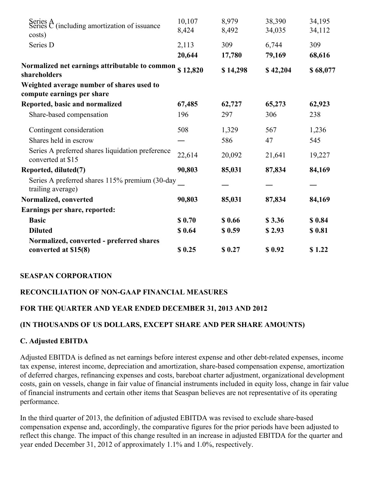| Series $A$ (including amortization of issuance                          | 10,107 | 8,979    | 38,390   | 34,195   |
|-------------------------------------------------------------------------|--------|----------|----------|----------|
| costs)                                                                  | 8,424  | 8,492    | 34,035   | 34,112   |
| Series D                                                                | 2,113  | 309      | 6,744    | 309      |
|                                                                         | 20,644 | 17,780   | 79,169   | 68,616   |
| Normalized net earnings attributable to common \$12,820<br>shareholders |        | \$14,298 | \$42,204 | \$68,077 |
| Weighted average number of shares used to<br>compute earnings per share |        |          |          |          |
| Reported, basic and normalized                                          | 67,485 | 62,727   | 65,273   | 62,923   |
| Share-based compensation                                                | 196    | 297      | 306      | 238      |
| Contingent consideration                                                | 508    | 1,329    | 567      | 1,236    |
| Shares held in escrow                                                   |        | 586      | 47       | 545      |
| Series A preferred shares liquidation preference<br>converted at \$15   | 22,614 | 20,092   | 21,641   | 19,227   |
| Reported, diluted(7)                                                    | 90,803 | 85,031   | 87,834   | 84,169   |
| Series A preferred shares 115% premium (30-day<br>trailing average)     |        |          |          |          |
| Normalized, converted                                                   | 90,803 | 85,031   | 87,834   | 84,169   |
| Earnings per share, reported:                                           |        |          |          |          |
| <b>Basic</b>                                                            | \$0.70 | \$0.66   | \$3.36   | \$0.84   |
| <b>Diluted</b>                                                          | \$0.64 | \$0.59   | \$2.93   | \$0.81   |
| Normalized, converted - preferred shares                                |        |          |          |          |
| converted at \$15(8)                                                    | \$0.25 | \$0.27   | \$0.92   | \$1.22   |

## **RECONCILIATION OF NON-GAAP FINANCIAL MEASURES**

## **FOR THE QUARTER AND YEAR ENDED DECEMBER 31, 2013 AND 2012**

## **(IN THOUSANDS OF US DOLLARS, EXCEPT SHARE AND PER SHARE AMOUNTS)**

#### **C. Adjusted EBITDA**

Adjusted EBITDA is defined as net earnings before interest expense and other debt-related expenses, income tax expense, interest income, depreciation and amortization, share-based compensation expense, amortization of deferred charges, refinancing expenses and costs, bareboat charter adjustment, organizational development costs, gain on vessels, change in fair value of financial instruments included in equity loss, change in fair value of financial instruments and certain other items that Seaspan believes are not representative of its operating performance.

In the third quarter of 2013, the definition of adjusted EBITDA was revised to exclude share-based compensation expense and, accordingly, the comparative figures for the prior periods have been adjusted to reflect this change. The impact of this change resulted in an increase in adjusted EBITDA for the quarter and year ended December 31, 2012 of approximately 1.1% and 1.0%, respectively.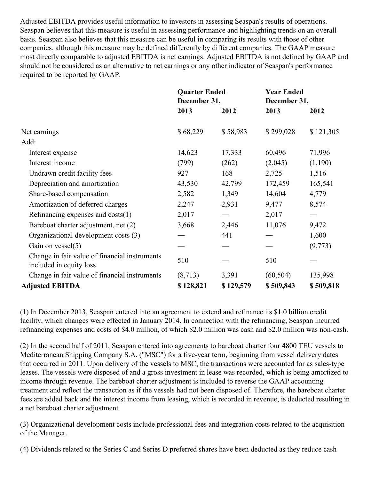Adjusted EBITDA provides useful information to investors in assessing Seaspan's results of operations. Seaspan believes that this measure is useful in assessing performance and highlighting trends on an overall basis. Seaspan also believes that this measure can be useful in comparing its results with those of other companies, although this measure may be defined differently by different companies. The GAAP measure most directly comparable to adjusted EBITDA is net earnings. Adjusted EBITDA is not defined by GAAP and should not be considered as an alternative to net earnings or any other indicator of Seaspan's performance required to be reported by GAAP.

|                                                                          | <b>Quarter Ended</b><br>December 31, |           | <b>Year Ended</b><br>December 31, |           |
|--------------------------------------------------------------------------|--------------------------------------|-----------|-----------------------------------|-----------|
|                                                                          | 2013                                 | 2012      | 2013                              | 2012      |
| Net earnings                                                             | \$68,229                             | \$58,983  | \$299,028                         | \$121,305 |
| Add:                                                                     |                                      |           |                                   |           |
| Interest expense                                                         | 14,623                               | 17,333    | 60,496                            | 71,996    |
| Interest income                                                          | (799)                                | (262)     | (2,045)                           | (1,190)   |
| Undrawn credit facility fees                                             | 927                                  | 168       | 2,725                             | 1,516     |
| Depreciation and amortization                                            | 43,530                               | 42,799    | 172,459                           | 165,541   |
| Share-based compensation                                                 | 2,582                                | 1,349     | 14,604                            | 4,779     |
| Amortization of deferred charges                                         | 2,247                                | 2,931     | 9,477                             | 8,574     |
| Refinancing expenses and $costs(1)$                                      | 2,017                                |           | 2,017                             |           |
| Bareboat charter adjustment, net (2)                                     | 3,668                                | 2,446     | 11,076                            | 9,472     |
| Organizational development costs (3)                                     |                                      | 441       |                                   | 1,600     |
| Gain on vessel $(5)$                                                     |                                      |           |                                   | (9,773)   |
| Change in fair value of financial instruments<br>included in equity loss | 510                                  |           | 510                               |           |
| Change in fair value of financial instruments                            | (8,713)                              | 3,391     | (60, 504)                         | 135,998   |
| <b>Adjusted EBITDA</b>                                                   | \$128,821                            | \$129,579 | \$509,843                         | \$509,818 |

(1) In December 2013, Seaspan entered into an agreement to extend and refinance its \$1.0 billion credit facility, which changes were effected in January 2014. In connection with the refinancing, Seaspan incurred refinancing expenses and costs of \$4.0 million, of which \$2.0 million was cash and \$2.0 million was non-cash.

(2) In the second half of 2011, Seaspan entered into agreements to bareboat charter four 4800 TEU vessels to Mediterranean Shipping Company S.A. ("MSC") for a five-year term, beginning from vessel delivery dates that occurred in 2011. Upon delivery of the vessels to MSC, the transactions were accounted for as sales-type leases. The vessels were disposed of and a gross investment in lease was recorded, which is being amortized to income through revenue. The bareboat charter adjustment is included to reverse the GAAP accounting treatment and reflect the transaction as if the vessels had not been disposed of. Therefore, the bareboat charter fees are added back and the interest income from leasing, which is recorded in revenue, is deducted resulting in a net bareboat charter adjustment.

(3) Organizational development costs include professional fees and integration costs related to the acquisition of the Manager.

(4) Dividends related to the Series C and Series D preferred shares have been deducted as they reduce cash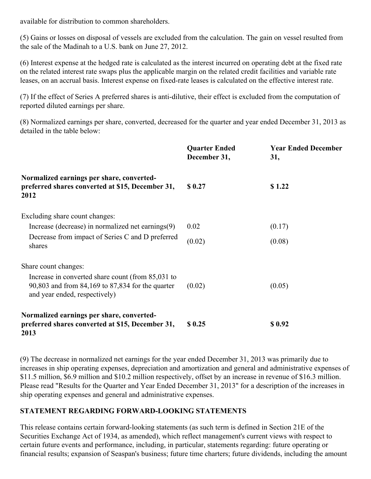available for distribution to common shareholders.

(5) Gains or losses on disposal of vessels are excluded from the calculation. The gain on vessel resulted from the sale of the Madinah to a U.S. bank on June 27, 2012.

(6) Interest expense at the hedged rate is calculated as the interest incurred on operating debt at the fixed rate on the related interest rate swaps plus the applicable margin on the related credit facilities and variable rate leases, on an accrual basis. Interest expense on fixed-rate leases is calculated on the effective interest rate.

(7) If the effect of Series A preferred shares is anti-dilutive, their effect is excluded from the computation of reported diluted earnings per share.

(8) Normalized earnings per share, converted, decreased for the quarter and year ended December 31, 2013 as detailed in the table below:

|                                                                                                                                        | <b>Quarter Ended</b><br>December 31, | <b>Year Ended December</b><br>31, |
|----------------------------------------------------------------------------------------------------------------------------------------|--------------------------------------|-----------------------------------|
| Normalized earnings per share, converted-<br>preferred shares converted at \$15, December 31,<br>2012                                  | \$0.27                               | \$1.22                            |
| Excluding share count changes:                                                                                                         |                                      |                                   |
| Increase (decrease) in normalized net earnings(9)                                                                                      | 0.02                                 | (0.17)                            |
| Decrease from impact of Series C and D preferred<br>shares                                                                             | (0.02)                               | (0.08)                            |
| Share count changes:                                                                                                                   |                                      |                                   |
| Increase in converted share count (from 85,031 to<br>90,803 and from 84,169 to 87,834 for the quarter<br>and year ended, respectively) | (0.02)                               | (0.05)                            |
| Normalized earnings per share, converted-<br>preferred shares converted at \$15, December 31,<br>2013                                  | \$0.25                               | \$0.92                            |

(9) The decrease in normalized net earnings for the year ended December 31, 2013 was primarily due to increases in ship operating expenses, depreciation and amortization and general and administrative expenses of \$11.5 million, \$6.9 million and \$10.2 million respectively, offset by an increase in revenue of \$16.3 million. Please read "Results for the Quarter and Year Ended December 31, 2013" for a description of the increases in ship operating expenses and general and administrative expenses.

# **STATEMENT REGARDING FORWARD-LOOKING STATEMENTS**

This release contains certain forward-looking statements (as such term is defined in Section 21E of the Securities Exchange Act of 1934, as amended), which reflect management's current views with respect to certain future events and performance, including, in particular, statements regarding: future operating or financial results; expansion of Seaspan's business; future time charters; future dividends, including the amount